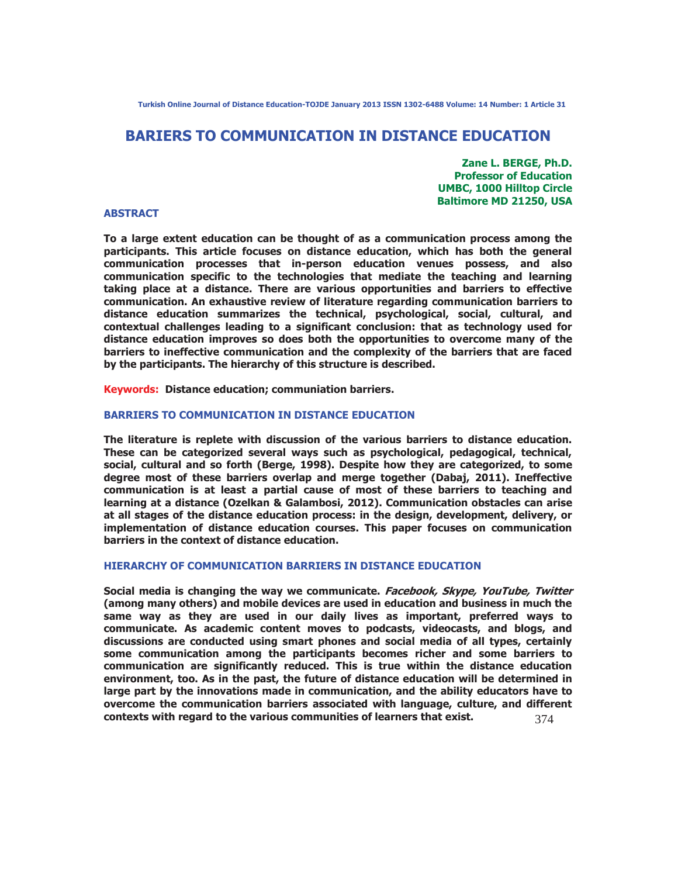**Turkish Online Journal of Distance Education-TOJDE January 2013 ISSN 1302-6488 Volume: 14 Number: 1 Article 31** 

# **BARIERS TO COMMUNICATION IN DISTANCE EDUCATION**

**Zane L. BERGE, Ph.D. Professor of Education UMBC, 1000 Hilltop Circle Baltimore MD 21250, USA** 

#### **ABSTRACT**

**To a large extent education can be thought of as a communication process among the participants. This article focuses on distance education, which has both the general communication processes that in-person education venues possess, and also communication specific to the technologies that mediate the teaching and learning taking place at a distance. There are various opportunities and barriers to effective communication. An exhaustive review of literature regarding communication barriers to distance education summarizes the technical, psychological, social, cultural, and contextual challenges leading to a significant conclusion: that as technology used for distance education improves so does both the opportunities to overcome many of the barriers to ineffective communication and the complexity of the barriers that are faced by the participants. The hierarchy of this structure is described.** 

**Keywords: Distance education; communiation barriers.** 

#### **BARRIERS TO COMMUNICATION IN DISTANCE EDUCATION**

**The literature is replete with discussion of the various barriers to distance education. These can be categorized several ways such as psychological, pedagogical, technical, social, cultural and so forth (Berge, 1998). Despite how they are categorized, to some degree most of these barriers overlap and merge together (Dabaj, 2011). Ineffective communication is at least a partial cause of most of these barriers to teaching and learning at a distance (Ozelkan & Galambosi, 2012). Communication obstacles can arise at all stages of the distance education process: in the design, development, delivery, or implementation of distance education courses. This paper focuses on communication barriers in the context of distance education.** 

## **HIERARCHY OF COMMUNICATION BARRIERS IN DISTANCE EDUCATION**

374 **Social media is changing the way we communicate. Facebook, Skype, YouTube, Twitter (among many others) and mobile devices are used in education and business in much the same way as they are used in our daily lives as important, preferred ways to communicate. As academic content moves to podcasts, videocasts, and blogs, and discussions are conducted using smart phones and social media of all types, certainly some communication among the participants becomes richer and some barriers to communication are significantly reduced. This is true within the distance education environment, too. As in the past, the future of distance education will be determined in large part by the innovations made in communication, and the ability educators have to overcome the communication barriers associated with language, culture, and different contexts with regard to the various communities of learners that exist.**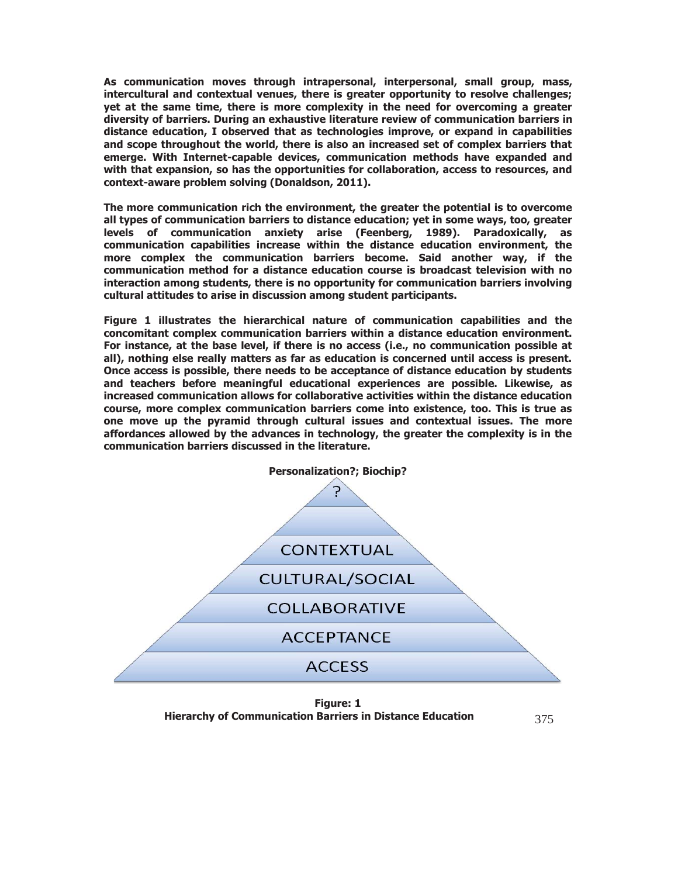**As communication moves through intrapersonal, interpersonal, small group, mass, intercultural and contextual venues, there is greater opportunity to resolve challenges; yet at the same time, there is more complexity in the need for overcoming a greater diversity of barriers. During an exhaustive literature review of communication barriers in distance education, I observed that as technologies improve, or expand in capabilities and scope throughout the world, there is also an increased set of complex barriers that emerge. With Internet-capable devices, communication methods have expanded and with that expansion, so has the opportunities for collaboration, access to resources, and context-aware problem solving (Donaldson, 2011).** 

**The more communication rich the environment, the greater the potential is to overcome all types of communication barriers to distance education; yet in some ways, too, greater levels of communication anxiety arise (Feenberg, 1989). Paradoxically, as communication capabilities increase within the distance education environment, the more complex the communication barriers become. Said another way, if the communication method for a distance education course is broadcast television with no interaction among students, there is no opportunity for communication barriers involving cultural attitudes to arise in discussion among student participants.** 

**Figure 1 illustrates the hierarchical nature of communication capabilities and the concomitant complex communication barriers within a distance education environment. For instance, at the base level, if there is no access (i.e., no communication possible at all), nothing else really matters as far as education is concerned until access is present. Once access is possible, there needs to be acceptance of distance education by students and teachers before meaningful educational experiences are possible. Likewise, as increased communication allows for collaborative activities within the distance education course, more complex communication barriers come into existence, too. This is true as one move up the pyramid through cultural issues and contextual issues. The more affordances allowed by the advances in technology, the greater the complexity is in the communication barriers discussed in the literature.** 



**Figure: 1 Hierarchy of Communication Barriers in Distance Education** 

375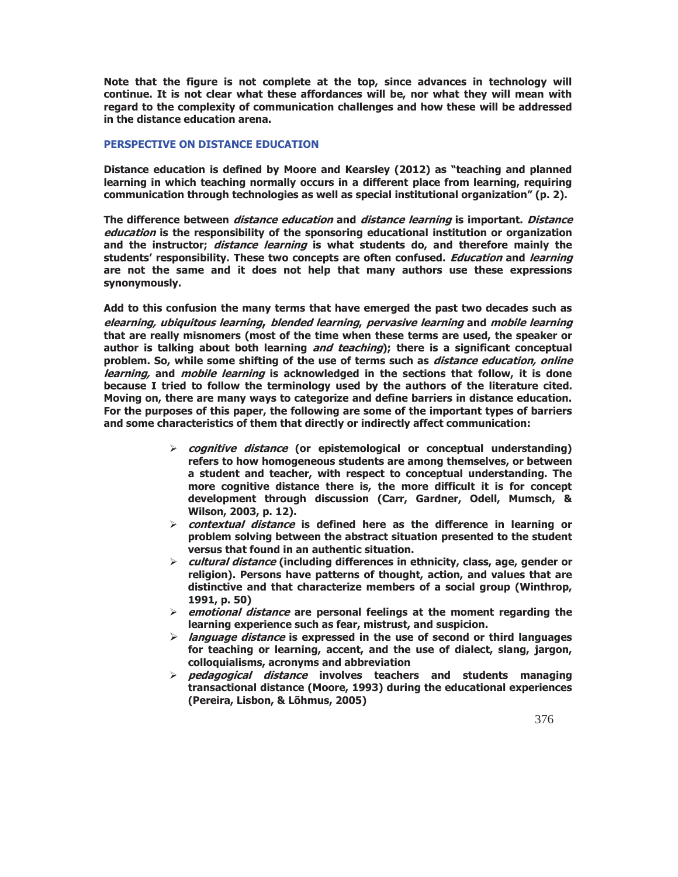**Note that the figure is not complete at the top, since advances in technology will continue. It is not clear what these affordances will be, nor what they will mean with regard to the complexity of communication challenges and how these will be addressed in the distance education arena.** 

#### **PERSPECTIVE ON DISTANCE EDUCATION**

**Distance education is defined by Moore and Kearsley (2012) as "teaching and planned learning in which teaching normally occurs in a different place from learning, requiring communication through technologies as well as special institutional organization" (p. 2).** 

**The difference between distance education and distance learning is important. Distance education is the responsibility of the sponsoring educational institution or organization and the instructor; distance learning is what students do, and therefore mainly the students' responsibility. These two concepts are often confused. Education and learning are not the same and it does not help that many authors use these expressions synonymously.** 

**Add to this confusion the many terms that have emerged the past two decades such as elearning, ubiquitous learning, blended learning, pervasive learning and mobile learning that are really misnomers (most of the time when these terms are used, the speaker or author is talking about both learning and teaching); there is a significant conceptual problem. So, while some shifting of the use of terms such as distance education, online learning, and mobile learning is acknowledged in the sections that follow, it is done because I tried to follow the terminology used by the authors of the literature cited. Moving on, there are many ways to categorize and define barriers in distance education. For the purposes of this paper, the following are some of the important types of barriers and some characteristics of them that directly or indirectly affect communication:** 

- ¾ **cognitive distance (or epistemological or conceptual understanding) refers to how homogeneous students are among themselves, or between a student and teacher, with respect to conceptual understanding. The more cognitive distance there is, the more difficult it is for concept development through discussion (Carr, Gardner, Odell, Mumsch, & Wilson, 2003, p. 12).**
- ¾ **contextual distance is defined here as the difference in learning or problem solving between the abstract situation presented to the student versus that found in an authentic situation.**
- ¾ **cultural distance (including differences in ethnicity, class, age, gender or religion). Persons have patterns of thought, action, and values that are distinctive and that characterize members of a social group (Winthrop, 1991, p. 50)**
- ¾ **emotional distance are personal feelings at the moment regarding the learning experience such as fear, mistrust, and suspicion.**
- ¾ **language distance is expressed in the use of second or third languages for teaching or learning, accent, and the use of dialect, slang, jargon, colloquialisms, acronyms and abbreviation**
- ¾ **pedagogical distance involves teachers and students managing transactional distance (Moore, 1993) during the educational experiences (Pereira, Lisbon, & Lõhmus, 2005)**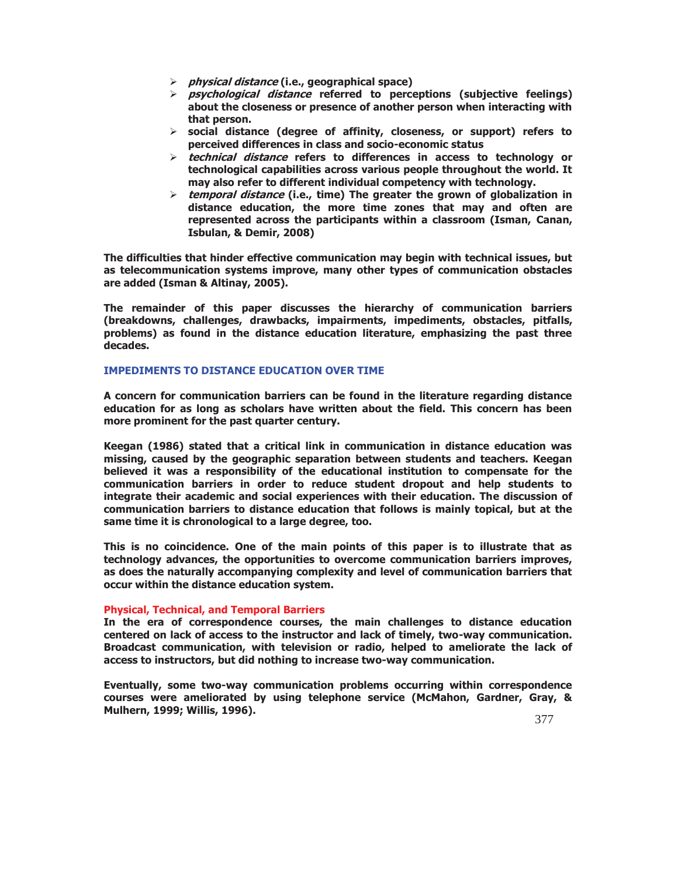- ¾ **physical distance (i.e., geographical space)**
- ¾ **psychological distance referred to perceptions (subjective feelings) about the closeness or presence of another person when interacting with that person.**
- ¾ **social distance (degree of affinity, closeness, or support) refers to perceived differences in class and socio-economic status**
- ¾ **technical distance refers to differences in access to technology or technological capabilities across various people throughout the world. It may also refer to different individual competency with technology.**
- ¾ **temporal distance (i.e., time) The greater the grown of globalization in distance education, the more time zones that may and often are represented across the participants within a classroom (Isman, Canan, Isbulan, & Demir, 2008)**

**The difficulties that hinder effective communication may begin with technical issues, but as telecommunication systems improve, many other types of communication obstacles are added (Isman & Altinay, 2005).** 

**The remainder of this paper discusses the hierarchy of communication barriers (breakdowns, challenges, drawbacks, impairments, impediments, obstacles, pitfalls, problems) as found in the distance education literature, emphasizing the past three decades.** 

## **IMPEDIMENTS TO DISTANCE EDUCATION OVER TIME**

**A concern for communication barriers can be found in the literature regarding distance education for as long as scholars have written about the field. This concern has been more prominent for the past quarter century.** 

**Keegan (1986) stated that a critical link in communication in distance education was missing, caused by the geographic separation between students and teachers. Keegan believed it was a responsibility of the educational institution to compensate for the communication barriers in order to reduce student dropout and help students to integrate their academic and social experiences with their education. The discussion of communication barriers to distance education that follows is mainly topical, but at the same time it is chronological to a large degree, too.** 

**This is no coincidence. One of the main points of this paper is to illustrate that as technology advances, the opportunities to overcome communication barriers improves, as does the naturally accompanying complexity and level of communication barriers that occur within the distance education system.** 

#### **Physical, Technical, and Temporal Barriers**

**In the era of correspondence courses, the main challenges to distance education centered on lack of access to the instructor and lack of timely, two-way communication. Broadcast communication, with television or radio, helped to ameliorate the lack of access to instructors, but did nothing to increase two-way communication.** 

**Eventually, some two-way communication problems occurring within correspondence courses were ameliorated by using telephone service (McMahon, Gardner, Gray, & Mulhern, 1999; Willis, 1996).**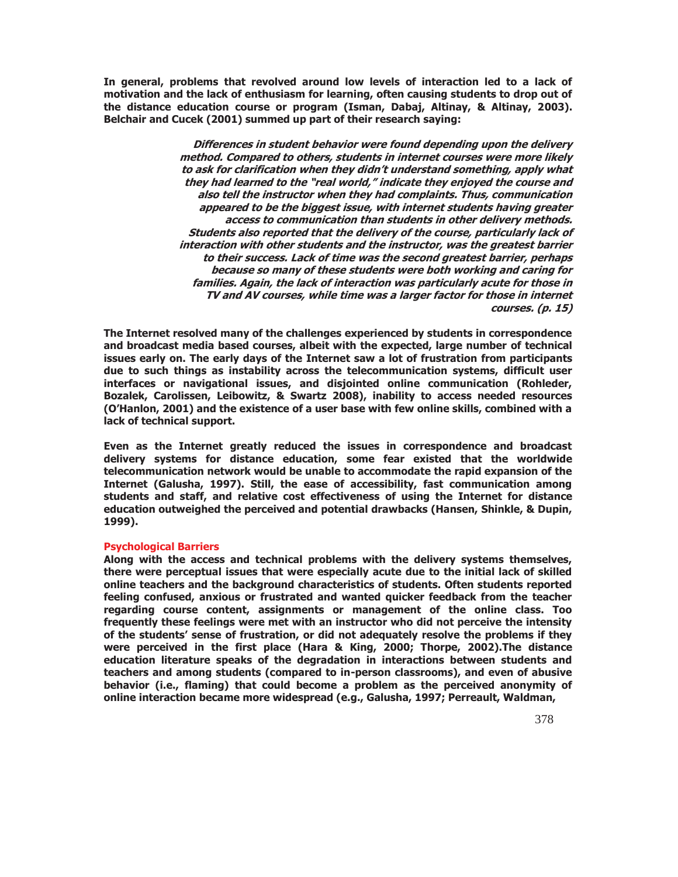**In general, problems that revolved around low levels of interaction led to a lack of motivation and the lack of enthusiasm for learning, often causing students to drop out of the distance education course or program (Isman, Dabaj, Altinay, & Altinay, 2003). Belchair and Cucek (2001) summed up part of their research saying:** 

> **Differences in student behavior were found depending upon the delivery method. Compared to others, students in internet courses were more likely to ask for clarification when they didn't understand something, apply what they had learned to the "real world," indicate they enjoyed the course and also tell the instructor when they had complaints. Thus, communication appeared to be the biggest issue, with internet students having greater access to communication than students in other delivery methods. Students also reported that the delivery of the course, particularly lack of interaction with other students and the instructor, was the greatest barrier to their success. Lack of time was the second greatest barrier, perhaps because so many of these students were both working and caring for families. Again, the lack of interaction was particularly acute for those in TV and AV courses, while time was a larger factor for those in internet courses. (p. 15)**

**The Internet resolved many of the challenges experienced by students in correspondence and broadcast media based courses, albeit with the expected, large number of technical issues early on. The early days of the Internet saw a lot of frustration from participants due to such things as instability across the telecommunication systems, difficult user interfaces or navigational issues, and disjointed online communication (Rohleder, Bozalek, Carolissen, Leibowitz, & Swartz 2008), inability to access needed resources (O'Hanlon, 2001) and the existence of a user base with few online skills, combined with a lack of technical support.** 

**Even as the Internet greatly reduced the issues in correspondence and broadcast delivery systems for distance education, some fear existed that the worldwide telecommunication network would be unable to accommodate the rapid expansion of the Internet (Galusha, 1997). Still, the ease of accessibility, fast communication among students and staff, and relative cost effectiveness of using the Internet for distance education outweighed the perceived and potential drawbacks (Hansen, Shinkle, & Dupin, 1999).** 

## **Psychological Barriers**

**Along with the access and technical problems with the delivery systems themselves, there were perceptual issues that were especially acute due to the initial lack of skilled online teachers and the background characteristics of students. Often students reported feeling confused, anxious or frustrated and wanted quicker feedback from the teacher regarding course content, assignments or management of the online class. Too frequently these feelings were met with an instructor who did not perceive the intensity of the students' sense of frustration, or did not adequately resolve the problems if they were perceived in the first place (Hara & King, 2000; Thorpe, 2002).The distance education literature speaks of the degradation in interactions between students and teachers and among students (compared to in-person classrooms), and even of abusive behavior (i.e., flaming) that could become a problem as the perceived anonymity of online interaction became more widespread (e.g., Galusha, 1997; Perreault, Waldman,**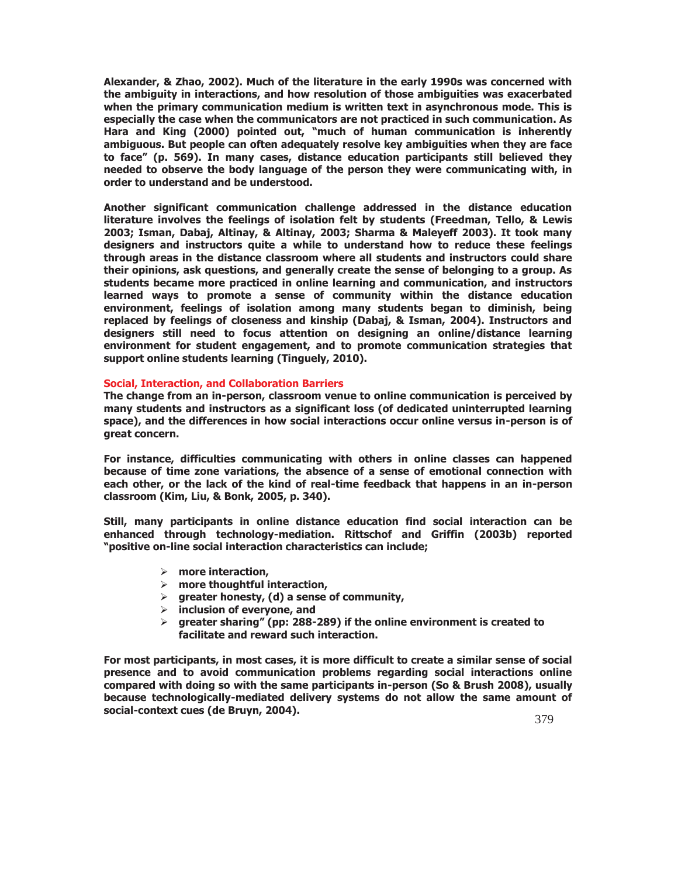**Alexander, & Zhao, 2002). Much of the literature in the early 1990s was concerned with the ambiguity in interactions, and how resolution of those ambiguities was exacerbated when the primary communication medium is written text in asynchronous mode. This is especially the case when the communicators are not practiced in such communication. As Hara and King (2000) pointed out, "much of human communication is inherently ambiguous. But people can often adequately resolve key ambiguities when they are face to face" (p. 569). In many cases, distance education participants still believed they needed to observe the body language of the person they were communicating with, in order to understand and be understood.** 

**Another significant communication challenge addressed in the distance education literature involves the feelings of isolation felt by students (Freedman, Tello, & Lewis 2003; Isman, Dabaj, Altinay, & Altinay, 2003; Sharma & Maleyeff 2003). It took many designers and instructors quite a while to understand how to reduce these feelings through areas in the distance classroom where all students and instructors could share their opinions, ask questions, and generally create the sense of belonging to a group. As students became more practiced in online learning and communication, and instructors learned ways to promote a sense of community within the distance education environment, feelings of isolation among many students began to diminish, being replaced by feelings of closeness and kinship (Dabaj, & Isman, 2004). Instructors and designers still need to focus attention on designing an online/distance learning environment for student engagement, and to promote communication strategies that support online students learning (Tinguely, 2010).** 

## **Social, Interaction, and Collaboration Barriers**

**The change from an in-person, classroom venue to online communication is perceived by many students and instructors as a significant loss (of dedicated uninterrupted learning space), and the differences in how social interactions occur online versus in-person is of great concern.** 

**For instance, difficulties communicating with others in online classes can happened because of time zone variations, the absence of a sense of emotional connection with each other, or the lack of the kind of real-time feedback that happens in an in-person classroom (Kim, Liu, & Bonk, 2005, p. 340).** 

**Still, many participants in online distance education find social interaction can be enhanced through technology-mediation. Rittschof and Griffin (2003b) reported "positive on-line social interaction characteristics can include;** 

- ¾ **more interaction,**
- ¾ **more thoughtful interaction,**
- ¾ **greater honesty, (d) a sense of community,**
- ¾ **inclusion of everyone, and**
- ¾ **greater sharing" (pp: 288-289) if the online environment is created to facilitate and reward such interaction.**

**For most participants, in most cases, it is more difficult to create a similar sense of social presence and to avoid communication problems regarding social interactions online compared with doing so with the same participants in-person (So & Brush 2008), usually because technologically-mediated delivery systems do not allow the same amount of social-context cues (de Bruyn, 2004).**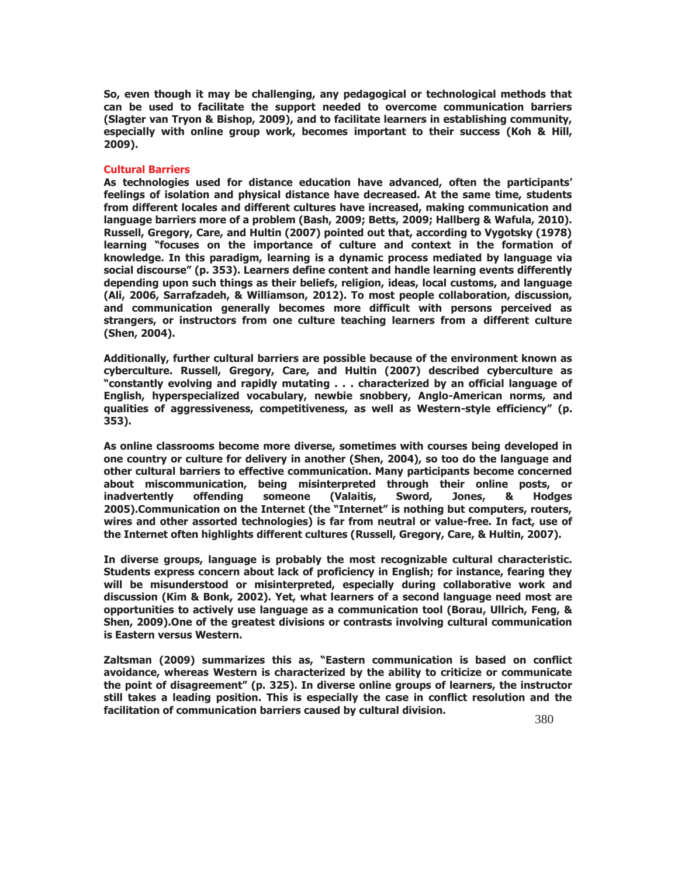**So, even though it may be challenging, any pedagogical or technological methods that can be used to facilitate the support needed to overcome communication barriers (Slagter van Tryon & Bishop, 2009), and to facilitate learners in establishing community, especially with online group work, becomes important to their success (Koh & Hill, 2009).** 

#### **Cultural Barriers**

**As technologies used for distance education have advanced, often the participants' feelings of isolation and physical distance have decreased. At the same time, students from different locales and different cultures have increased, making communication and language barriers more of a problem (Bash, 2009; Betts, 2009; Hallberg & Wafula, 2010). Russell, Gregory, Care, and Hultin (2007) pointed out that, according to Vygotsky (1978) learning "focuses on the importance of culture and context in the formation of knowledge. In this paradigm, learning is a dynamic process mediated by language via social discourse" (p. 353). Learners define content and handle learning events differently depending upon such things as their beliefs, religion, ideas, local customs, and language (Ali, 2006, Sarrafzadeh, & Williamson, 2012). To most people collaboration, discussion, and communication generally becomes more difficult with persons perceived as strangers, or instructors from one culture teaching learners from a different culture (Shen, 2004).** 

**Additionally, further cultural barriers are possible because of the environment known as cyberculture. Russell, Gregory, Care, and Hultin (2007) described cyberculture as "constantly evolving and rapidly mutating . . . characterized by an official language of English, hyperspecialized vocabulary, newbie snobbery, Anglo-American norms, and qualities of aggressiveness, competitiveness, as well as Western-style efficiency" (p. 353).** 

**As online classrooms become more diverse, sometimes with courses being developed in one country or culture for delivery in another (Shen, 2004), so too do the language and other cultural barriers to effective communication. Many participants become concerned about miscommunication, being misinterpreted through their online posts, or inadvertently offending someone (Valaitis, Sword, Jones, & Hodges 2005).Communication on the Internet (the "Internet" is nothing but computers, routers, wires and other assorted technologies) is far from neutral or value-free. In fact, use of the Internet often highlights different cultures (Russell, Gregory, Care, & Hultin, 2007).** 

**In diverse groups, language is probably the most recognizable cultural characteristic. Students express concern about lack of proficiency in English; for instance, fearing they will be misunderstood or misinterpreted, especially during collaborative work and discussion (Kim & Bonk, 2002). Yet, what learners of a second language need most are opportunities to actively use language as a communication tool (Borau, Ullrich, Feng, & Shen, 2009).One of the greatest divisions or contrasts involving cultural communication is Eastern versus Western.** 

**Zaltsman (2009) summarizes this as, "Eastern communication is based on conflict avoidance, whereas Western is characterized by the ability to criticize or communicate the point of disagreement" (p. 325). In diverse online groups of learners, the instructor still takes a leading position. This is especially the case in conflict resolution and the facilitation of communication barriers caused by cultural division.**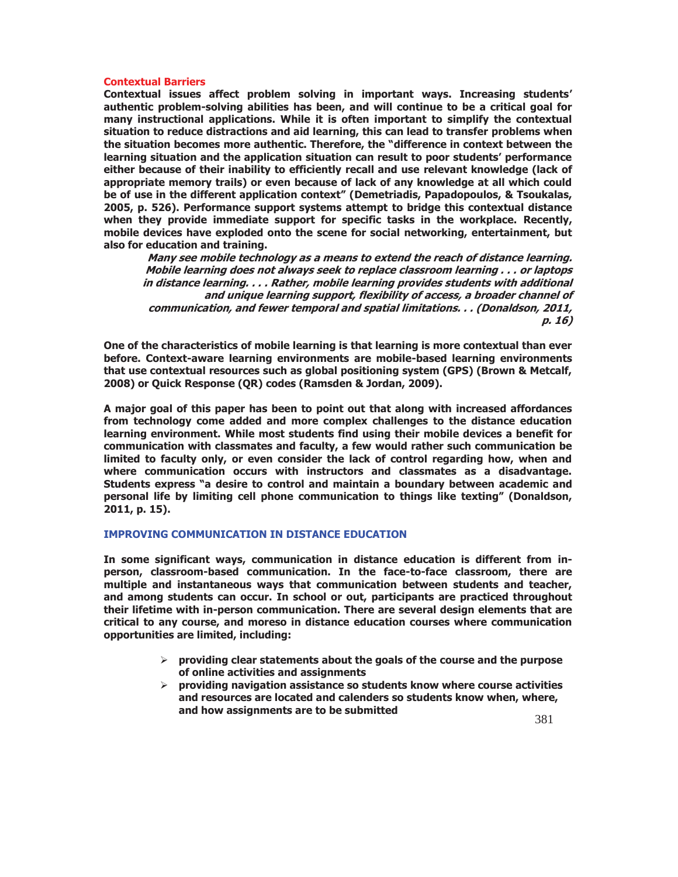#### **Contextual Barriers**

**Contextual issues affect problem solving in important ways. Increasing students' authentic problem-solving abilities has been, and will continue to be a critical goal for many instructional applications. While it is often important to simplify the contextual situation to reduce distractions and aid learning, this can lead to transfer problems when the situation becomes more authentic. Therefore, the "difference in context between the learning situation and the application situation can result to poor students' performance either because of their inability to efficiently recall and use relevant knowledge (lack of appropriate memory trails) or even because of lack of any knowledge at all which could be of use in the different application context" (Demetriadis, Papadopoulos, & Tsoukalas, 2005, p. 526). Performance support systems attempt to bridge this contextual distance when they provide immediate support for specific tasks in the workplace. Recently, mobile devices have exploded onto the scene for social networking, entertainment, but also for education and training.** 

**Many see mobile technology as a means to extend the reach of distance learning. Mobile learning does not always seek to replace classroom learning . . . or laptops in distance learning. . . . Rather, mobile learning provides students with additional and unique learning support, flexibility of access, a broader channel of communication, and fewer temporal and spatial limitations. . . (Donaldson, 2011, p. 16)** 

**One of the characteristics of mobile learning is that learning is more contextual than ever before. Context-aware learning environments are mobile-based learning environments that use contextual resources such as global positioning system (GPS) (Brown & Metcalf, 2008) or Quick Response (QR) codes (Ramsden & Jordan, 2009).** 

**A major goal of this paper has been to point out that along with increased affordances from technology come added and more complex challenges to the distance education learning environment. While most students find using their mobile devices a benefit for communication with classmates and faculty, a few would rather such communication be limited to faculty only, or even consider the lack of control regarding how, when and where communication occurs with instructors and classmates as a disadvantage. Students express "a desire to control and maintain a boundary between academic and personal life by limiting cell phone communication to things like texting" (Donaldson, 2011, p. 15).** 

#### **IMPROVING COMMUNICATION IN DISTANCE EDUCATION**

**In some significant ways, communication in distance education is different from inperson, classroom-based communication. In the face-to-face classroom, there are multiple and instantaneous ways that communication between students and teacher, and among students can occur. In school or out, participants are practiced throughout their lifetime with in-person communication. There are several design elements that are critical to any course, and moreso in distance education courses where communication opportunities are limited, including:** 

- ¾ **providing clear statements about the goals of the course and the purpose of online activities and assignments**
- ¾ **providing navigation assistance so students know where course activities and resources are located and calenders so students know when, where, and how assignments are to be submitted**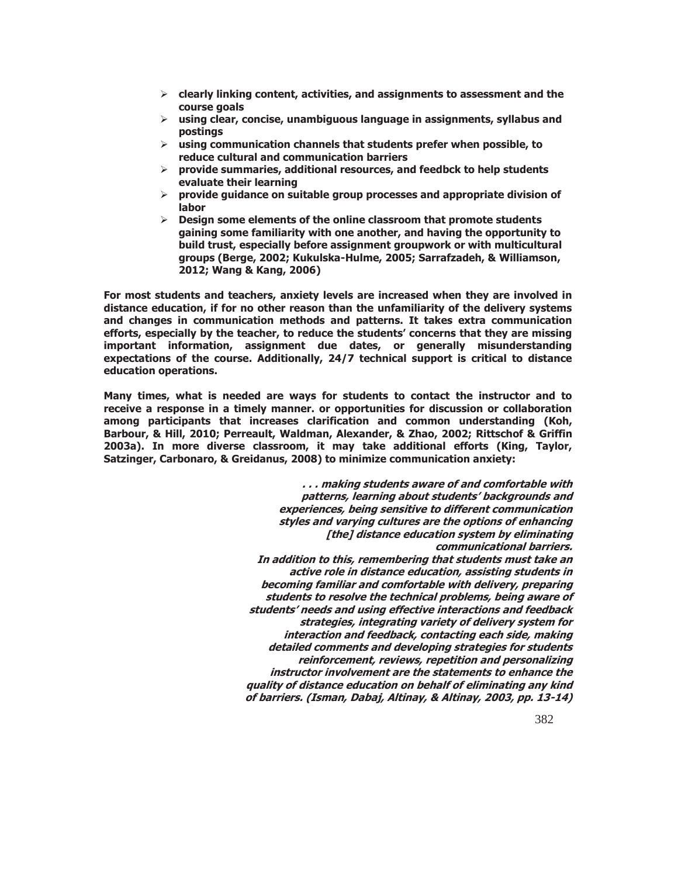- ¾ **clearly linking content, activities, and assignments to assessment and the course goals**
- ¾ **using clear, concise, unambiguous language in assignments, syllabus and postings**
- ¾ **using communication channels that students prefer when possible, to reduce cultural and communication barriers**
- ¾ **provide summaries, additional resources, and feedbck to help students evaluate their learning**
- ¾ **provide guidance on suitable group processes and appropriate division of labor**
- ¾ **Design some elements of the online classroom that promote students gaining some familiarity with one another, and having the opportunity to build trust, especially before assignment groupwork or with multicultural groups (Berge, 2002; Kukulska-Hulme, 2005; Sarrafzadeh, & Williamson, 2012; Wang & Kang, 2006)**

**For most students and teachers, anxiety levels are increased when they are involved in distance education, if for no other reason than the unfamiliarity of the delivery systems and changes in communication methods and patterns. It takes extra communication efforts, especially by the teacher, to reduce the students' concerns that they are missing important information, assignment due dates, or generally misunderstanding expectations of the course. Additionally, 24/7 technical support is critical to distance education operations.** 

**Many times, what is needed are ways for students to contact the instructor and to receive a response in a timely manner. or opportunities for discussion or collaboration among participants that increases clarification and common understanding (Koh, Barbour, & Hill, 2010; Perreault, Waldman, Alexander, & Zhao, 2002; Rittschof & Griffin 2003a). In more diverse classroom, it may take additional efforts (King, Taylor, Satzinger, Carbonaro, & Greidanus, 2008) to minimize communication anxiety:** 

> **. . . making students aware of and comfortable with patterns, learning about students' backgrounds and experiences, being sensitive to different communication styles and varying cultures are the options of enhancing [the] distance education system by eliminating communicational barriers. In addition to this, remembering that students must take an active role in distance education, assisting students in becoming familiar and comfortable with delivery, preparing students to resolve the technical problems, being aware of students' needs and using effective interactions and feedback strategies, integrating variety of delivery system for interaction and feedback, contacting each side, making detailed comments and developing strategies for students reinforcement, reviews, repetition and personalizing instructor involvement are the statements to enhance the quality of distance education on behalf of eliminating any kind of barriers. (Isman, Dabaj, Altinay, & Altinay, 2003, pp. 13-14)**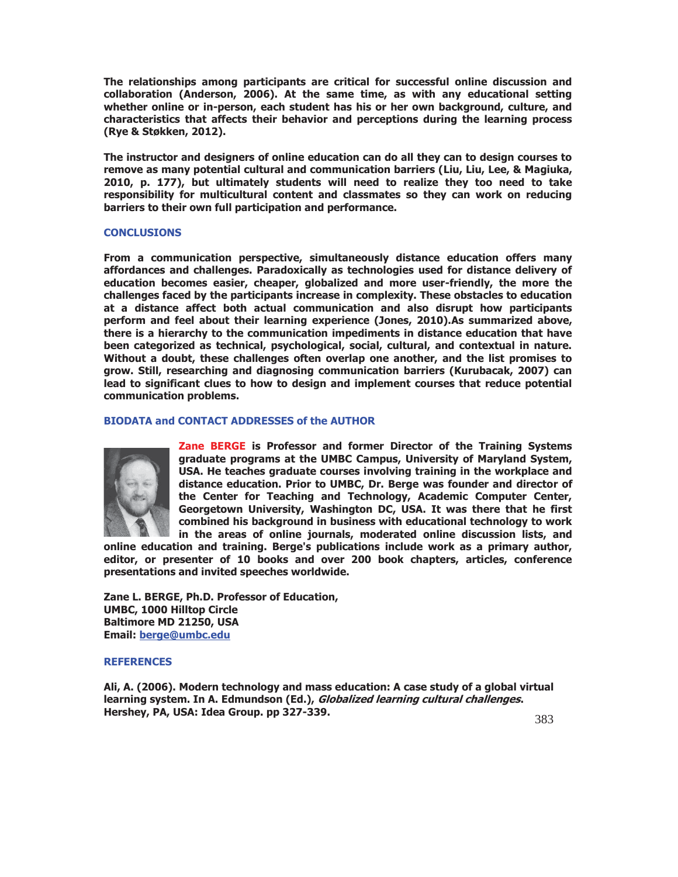**The relationships among participants are critical for successful online discussion and collaboration (Anderson, 2006). At the same time, as with any educational setting whether online or in-person, each student has his or her own background, culture, and characteristics that affects their behavior and perceptions during the learning process (Rye & Støkken, 2012).** 

**The instructor and designers of online education can do all they can to design courses to remove as many potential cultural and communication barriers (Liu, Liu, Lee, & Magiuka, 2010, p. 177), but ultimately students will need to realize they too need to take responsibility for multicultural content and classmates so they can work on reducing barriers to their own full participation and performance.** 

#### **CONCLUSIONS**

**From a communication perspective, simultaneously distance education offers many affordances and challenges. Paradoxically as technologies used for distance delivery of education becomes easier, cheaper, globalized and more user-friendly, the more the challenges faced by the participants increase in complexity. These obstacles to education at a distance affect both actual communication and also disrupt how participants perform and feel about their learning experience (Jones, 2010).As summarized above, there is a hierarchy to the communication impediments in distance education that have been categorized as technical, psychological, social, cultural, and contextual in nature. Without a doubt, these challenges often overlap one another, and the list promises to grow. Still, researching and diagnosing communication barriers (Kurubacak, 2007) can lead to significant clues to how to design and implement courses that reduce potential communication problems.** 

#### **BIODATA and CONTACT ADDRESSES of the AUTHOR**



**Zane BERGE is Professor and former Director of the Training Systems graduate programs at the UMBC Campus, University of Maryland System, USA. He teaches graduate courses involving training in the workplace and distance education. Prior to UMBC, Dr. Berge was founder and director of the Center for Teaching and Technology, Academic Computer Center, Georgetown University, Washington DC, USA. It was there that he first combined his background in business with educational technology to work in the areas of online journals, moderated online discussion lists, and** 

**online education and training. Berge's publications include work as a primary author, editor, or presenter of 10 books and over 200 book chapters, articles, conference presentations and invited speeches worldwide.** 

**Zane L. BERGE, Ph.D. Professor of Education, UMBC, 1000 Hilltop Circle Baltimore MD 21250, USA Email: berge@umbc.edu**

#### **REFERENCES**

**Ali, A. (2006). Modern technology and mass education: A case study of a global virtual learning system. In A. Edmundson (Ed.), Globalized learning cultural challenges. Hershey, PA, USA: Idea Group. pp 327-339.**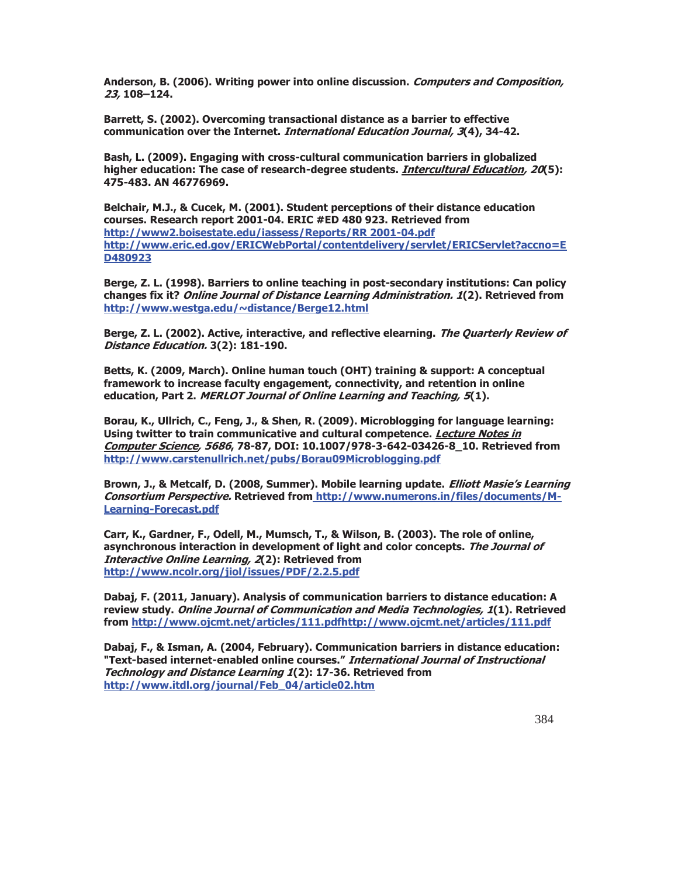**Anderson, B. (2006). Writing power into online discussion. Computers and Composition, 23, 108–124.**

**Barrett, S. (2002). Overcoming transactional distance as a barrier to effective communication over the Internet. International Education Journal, 3(4), 34-42.** 

**Bash, L. (2009). Engaging with cross-cultural communication barriers in globalized higher education: The case of research-degree students. Intercultural Education, 20(5): 475-483. AN 46776969.** 

**Belchair, M.J., & Cucek, M. (2001). Student perceptions of their distance education courses. Research report 2001-04. ERIC #ED 480 923. Retrieved from http://www2.boisestate.edu/iassess/Reports/RR 2001-04.pdf http://www.eric.ed.gov/ERICWebPortal/contentdelivery/servlet/ERICServlet?accno=E D480923** 

**Berge, Z. L. (1998). Barriers to online teaching in post-secondary institutions: Can policy changes fix it? Online Journal of Distance Learning Administration. 1(2). Retrieved from http://www.westga.edu/~distance/Berge12.html** 

**Berge, Z. L. (2002). Active, interactive, and reflective elearning. The Quarterly Review of Distance Education. 3(2): 181-190.** 

**Betts, K. (2009, March). Online human touch (OHT) training & support: A conceptual framework to increase faculty engagement, connectivity, and retention in online education, Part 2. MERLOT Journal of Online Learning and Teaching, 5(1).** 

**Borau, K., Ullrich, C., Feng, J., & Shen, R. (2009). Microblogging for language learning: Using twitter to train communicative and cultural competence. Lecture Notes in Computer Science, 5686, 78-87, DOI: 10.1007/978-3-642-03426-8\_10. Retrieved from http://www.carstenullrich.net/pubs/Borau09Microblogging.pdf**

**Brown, J., & Metcalf, D. (2008, Summer). Mobile learning update. Elliott Masie's Learning Consortium Perspective. Retrieved from http://www.numerons.in/files/documents/M-Learning-Forecast.pdf**

**Carr, K., Gardner, F., Odell, M., Mumsch, T., & Wilson, B. (2003). The role of online, asynchronous interaction in development of light and color concepts. The Journal of Interactive Online Learning, 2(2): Retrieved from http://www.ncolr.org/jiol/issues/PDF/2.2.5.pdf**

**Dabaj, F. (2011, January). Analysis of communication barriers to distance education: A review study. Online Journal of Communication and Media Technologies, 1(1). Retrieved from http://www.ojcmt.net/articles/111.pdfhttp://www.ojcmt.net/articles/111.pdf** 

**Dabaj, F., & Isman, A. (2004, February). Communication barriers in distance education: "Text-based internet-enabled online courses." International Journal of Instructional Technology and Distance Learning 1(2): 17-36. Retrieved from http://www.itdl.org/journal/Feb\_04/article02.htm**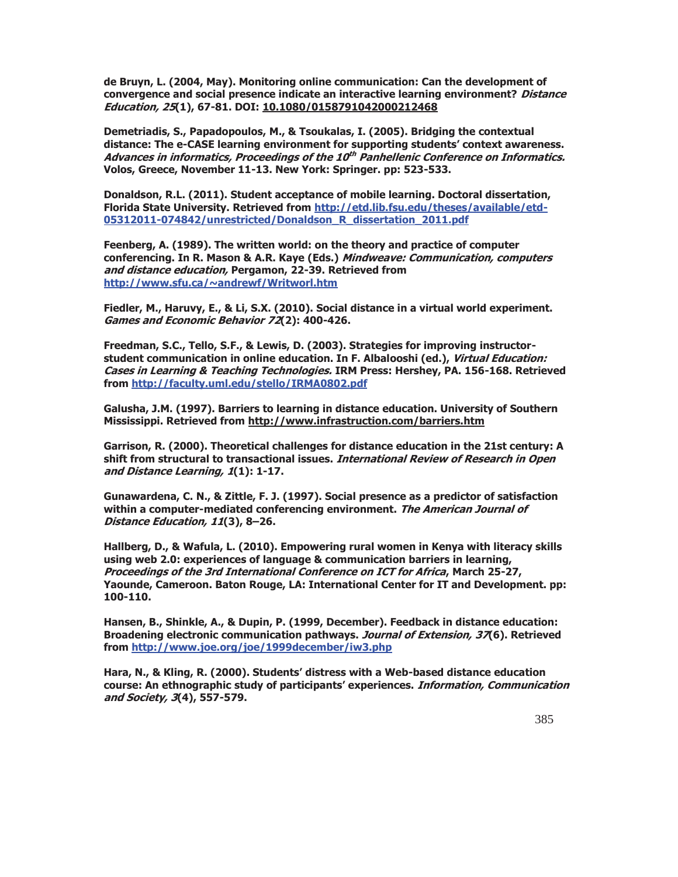**de Bruyn, L. (2004, May). Monitoring online communication: Can the development of convergence and social presence indicate an interactive learning environment? Distance Education, 25(1), 67-81. DOI: 10.1080/0158791042000212468** 

**Demetriadis, S., Papadopoulos, M., & Tsoukalas, I. (2005). Bridging the contextual distance: The e-CASE learning environment for supporting students' context awareness. Advances in informatics, Proceedings of the 10th Panhellenic Conference on Informatics. Volos, Greece, November 11-13. New York: Springer. pp: 523-533.** 

**Donaldson, R.L. (2011). Student acceptance of mobile learning. Doctoral dissertation, Florida State University. Retrieved from http://etd.lib.fsu.edu/theses/available/etd-05312011-074842/unrestricted/Donaldson\_R\_dissertation\_2011.pdf**

**Feenberg, A. (1989). The written world: on the theory and practice of computer conferencing. In R. Mason & A.R. Kaye (Eds.) Mindweave: Communication, computers and distance education, Pergamon, 22-39. Retrieved from http://www.sfu.ca/~andrewf/Writworl.htm** 

**Fiedler, M., Haruvy, E., & Li, S.X. (2010). Social distance in a virtual world experiment. Games and Economic Behavior 72(2): 400-426.** 

**Freedman, S.C., Tello, S.F., & Lewis, D. (2003). Strategies for improving instructorstudent communication in online education. In F. Albalooshi (ed.), Virtual Education: Cases in Learning & Teaching Technologies. IRM Press: Hershey, PA. 156-168. Retrieved from http://faculty.uml.edu/stello/IRMA0802.pdf** 

**Galusha, J.M. (1997). Barriers to learning in distance education. University of Southern Mississippi. Retrieved from http://www.infrastruction.com/barriers.htm** 

**Garrison, R. (2000). Theoretical challenges for distance education in the 21st century: A shift from structural to transactional issues. International Review of Research in Open and Distance Learning, 1(1): 1-17.** 

**Gunawardena, C. N., & Zittle, F. J. (1997). Social presence as a predictor of satisfaction within a computer-mediated conferencing environment. The American Journal of Distance Education, 11(3), 8–26.** 

**Hallberg, D., & Wafula, L. (2010). Empowering rural women in Kenya with literacy skills using web 2.0: experiences of language & communication barriers in learning, Proceedings of the 3rd International Conference on ICT for Africa, March 25-27, Yaounde, Cameroon. Baton Rouge, LA: International Center for IT and Development. pp: 100-110.** 

**Hansen, B., Shinkle, A., & Dupin, P. (1999, December). Feedback in distance education: Broadening electronic communication pathways. Journal of Extension, 37(6). Retrieved from http://www.joe.org/joe/1999december/iw3.php**

**Hara, N., & Kling, R. (2000). Students' distress with a Web-based distance education course: An ethnographic study of participants' experiences. Information, Communication and Society, 3(4), 557-579.**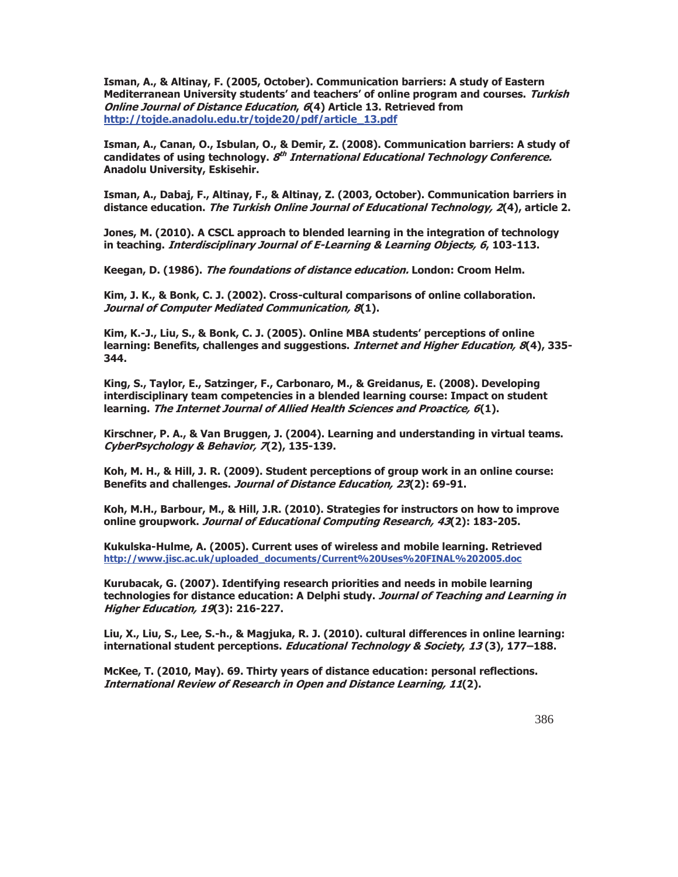**Isman, A., & Altinay, F. (2005, October). Communication barriers: A study of Eastern Mediterranean University students' and teachers' of online program and courses. Turkish Online Journal of Distance Education, 6(4) Article 13. Retrieved from http://tojde.anadolu.edu.tr/tojde20/pdf/article\_13.pdf** 

**Isman, A., Canan, O., Isbulan, O., & Demir, Z. (2008). Communication barriers: A study of candidates of using technology. 8th International Educational Technology Conference. Anadolu University, Eskisehir.** 

**Isman, A., Dabaj, F., Altinay, F., & Altinay, Z. (2003, October). Communication barriers in distance education. The Turkish Online Journal of Educational Technology, 2(4), article 2.** 

**Jones, M. (2010). A CSCL approach to blended learning in the integration of technology in teaching. Interdisciplinary Journal of E-Learning & Learning Objects, 6, 103-113.** 

**Keegan, D. (1986). The foundations of distance education. London: Croom Helm.** 

**Kim, J. K., & Bonk, C. J. (2002). Cross-cultural comparisons of online collaboration. Journal of Computer Mediated Communication, 8(1).** 

**Kim, K.-J., Liu, S., & Bonk, C. J. (2005). Online MBA students' perceptions of online learning: Benefits, challenges and suggestions. Internet and Higher Education, 8(4), 335- 344.** 

**King, S., Taylor, E., Satzinger, F., Carbonaro, M., & Greidanus, E. (2008). Developing interdisciplinary team competencies in a blended learning course: Impact on student learning. The Internet Journal of Allied Health Sciences and Proactice, 6(1).** 

**Kirschner, P. A., & Van Bruggen, J. (2004). Learning and understanding in virtual teams. CyberPsychology & Behavior, 7(2), 135-139.** 

**Koh, M. H., & Hill, J. R. (2009). Student perceptions of group work in an online course: Benefits and challenges. Journal of Distance Education, 23(2): 69-91.** 

**Koh, M.H., Barbour, M., & Hill, J.R. (2010). Strategies for instructors on how to improve online groupwork. Journal of Educational Computing Research, 43(2): 183-205.** 

**Kukulska-Hulme, A. (2005). Current uses of wireless and mobile learning. Retrieved http://www.jisc.ac.uk/uploaded\_documents/Current%20Uses%20FINAL%202005.doc** 

**Kurubacak, G. (2007). Identifying research priorities and needs in mobile learning technologies for distance education: A Delphi study. Journal of Teaching and Learning in Higher Education, 19(3): 216-227.** 

**Liu, X., Liu, S., Lee, S.-h., & Magjuka, R. J. (2010). cultural differences in online learning: international student perceptions. Educational Technology & Society, 13 (3), 177–188.** 

**McKee, T. (2010, May). 69. Thirty years of distance education: personal reflections. International Review of Research in Open and Distance Learning, 11(2).**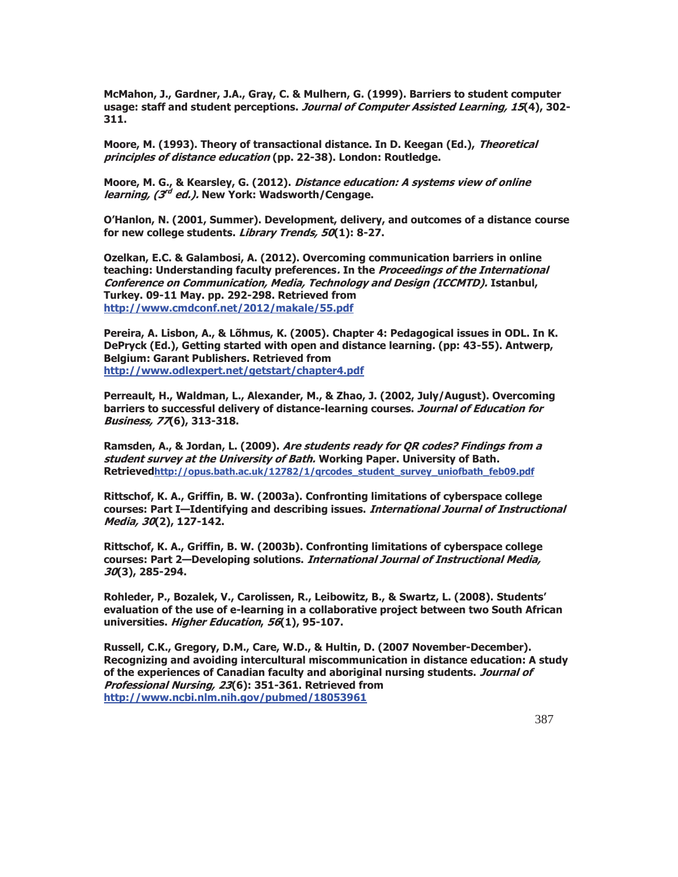**McMahon, J., Gardner, J.A., Gray, C. & Mulhern, G. (1999). Barriers to student computer usage: staff and student perceptions. Journal of Computer Assisted Learning, 15(4), 302- 311.** 

**Moore, M. (1993). Theory of transactional distance. In D. Keegan (Ed.), Theoretical principles of distance education (pp. 22-38). London: Routledge.** 

**Moore, M. G., & Kearsley, G. (2012). Distance education: A systems view of online learning, (3rd ed.). New York: Wadsworth/Cengage.** 

**O'Hanlon, N. (2001, Summer). Development, delivery, and outcomes of a distance course for new college students. Library Trends, 50(1): 8-27.** 

**Ozelkan, E.C. & Galambosi, A. (2012). Overcoming communication barriers in online teaching: Understanding faculty preferences. In the Proceedings of the International Conference on Communication, Media, Technology and Design (ICCMTD). Istanbul, Turkey. 09-11 May. pp. 292-298. Retrieved from http://www.cmdconf.net/2012/makale/55.pdf**

**Pereira, A. Lisbon, A., & Lõhmus, K. (2005). Chapter 4: Pedagogical issues in ODL. In K. DePryck (Ed.), Getting started with open and distance learning. (pp: 43-55). Antwerp, Belgium: Garant Publishers. Retrieved from http://www.odlexpert.net/getstart/chapter4.pdf**

**Perreault, H., Waldman, L., Alexander, M., & Zhao, J. (2002, July/August). Overcoming barriers to successful delivery of distance-learning courses. Journal of Education for Business, 77(6), 313-318.** 

**Ramsden, A., & Jordan, L. (2009). Are students ready for QR codes? Findings from a student survey at the University of Bath. Working Paper. University of Bath. Retrievedhttp://opus.bath.ac.uk/12782/1/qrcodes\_student\_survey\_uniofbath\_feb09.pdf**

**Rittschof, K. A., Griffin, B. W. (2003a). Confronting limitations of cyberspace college courses: Part I—Identifying and describing issues. International Journal of Instructional Media, 30(2), 127-142.** 

**Rittschof, K. A., Griffin, B. W. (2003b). Confronting limitations of cyberspace college courses: Part 2—Developing solutions. International Journal of Instructional Media, 30(3), 285-294.** 

**Rohleder, P., Bozalek, V., Carolissen, R., Leibowitz, B., & Swartz, L. (2008). Students' evaluation of the use of e-learning in a collaborative project between two South African universities. Higher Education, 56(1), 95-107.** 

**Russell, C.K., Gregory, D.M., Care, W.D., & Hultin, D. (2007 November-December). Recognizing and avoiding intercultural miscommunication in distance education: A study of the experiences of Canadian faculty and aboriginal nursing students. Journal of Professional Nursing, 23(6): 351-361. Retrieved from http://www.ncbi.nlm.nih.gov/pubmed/18053961**